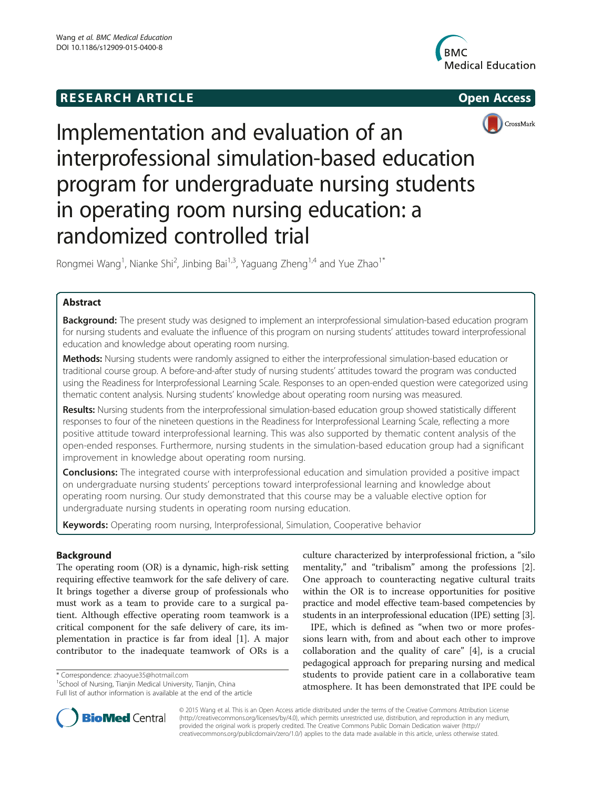## **RESEARCH ARTICLE Example 2014 12:30 The SEAR CHA RESEARCH ARTICLE**







# Implementation and evaluation of an interprofessional simulation-based education program for undergraduate nursing students in operating room nursing education: a randomized controlled trial

Rongmei Wang<sup>1</sup>, Nianke Shi<sup>2</sup>, Jinbing Bai<sup>1,3</sup>, Yaguang Zheng<sup>1,4</sup> and Yue Zhao<sup>1\*</sup>

## Abstract

**Background:** The present study was designed to implement an interprofessional simulation-based education program for nursing students and evaluate the influence of this program on nursing students' attitudes toward interprofessional education and knowledge about operating room nursing.

Methods: Nursing students were randomly assigned to either the interprofessional simulation-based education or traditional course group. A before-and-after study of nursing students' attitudes toward the program was conducted using the Readiness for Interprofessional Learning Scale. Responses to an open-ended question were categorized using thematic content analysis. Nursing students' knowledge about operating room nursing was measured.

Results: Nursing students from the interprofessional simulation-based education group showed statistically different responses to four of the nineteen questions in the Readiness for Interprofessional Learning Scale, reflecting a more positive attitude toward interprofessional learning. This was also supported by thematic content analysis of the open-ended responses. Furthermore, nursing students in the simulation-based education group had a significant improvement in knowledge about operating room nursing.

**Conclusions:** The integrated course with interprofessional education and simulation provided a positive impact on undergraduate nursing students' perceptions toward interprofessional learning and knowledge about operating room nursing. Our study demonstrated that this course may be a valuable elective option for undergraduate nursing students in operating room nursing education.

Keywords: Operating room nursing, Interprofessional, Simulation, Cooperative behavior

### Background

The operating room (OR) is a dynamic, high-risk setting requiring effective teamwork for the safe delivery of care. It brings together a diverse group of professionals who must work as a team to provide care to a surgical patient. Although effective operating room teamwork is a critical component for the safe delivery of care, its implementation in practice is far from ideal [[1\]](#page-5-0). A major contributor to the inadequate teamwork of ORs is a

\* Correspondence: [zhaoyue35@hotmail.com](mailto:zhaoyue35@hotmail.com) <sup>1</sup>

<sup>1</sup> School of Nursing, Tianjin Medical University, Tianjin, China Full list of author information is available at the end of the article culture characterized by interprofessional friction, a "silo mentality," and "tribalism" among the professions [\[2](#page-5-0)]. One approach to counteracting negative cultural traits within the OR is to increase opportunities for positive practice and model effective team-based competencies by students in an interprofessional education (IPE) setting [\[3](#page-5-0)].

IPE, which is defined as "when two or more professions learn with, from and about each other to improve collaboration and the quality of care" [\[4](#page-5-0)], is a crucial pedagogical approach for preparing nursing and medical students to provide patient care in a collaborative team atmosphere. It has been demonstrated that IPE could be



© 2015 Wang et al. This is an Open Access article distributed under the terms of the Creative Commons Attribution License [\(http://creativecommons.org/licenses/by/4.0\)](http://creativecommons.org/licenses/by/4.0), which permits unrestricted use, distribution, and reproduction in any medium, provided the original work is properly credited. The Creative Commons Public Domain Dedication waiver [\(http://](http://creativecommons.org/publicdomain/zero/1.0/) [creativecommons.org/publicdomain/zero/1.0/\)](http://creativecommons.org/publicdomain/zero/1.0/) applies to the data made available in this article, unless otherwise stated.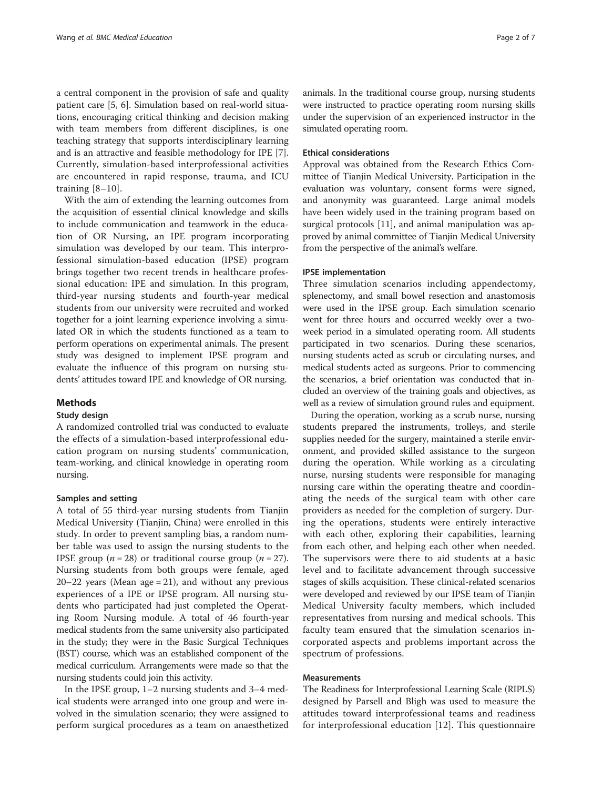a central component in the provision of safe and quality patient care [\[5](#page-5-0), [6\]](#page-5-0). Simulation based on real-world situations, encouraging critical thinking and decision making with team members from different disciplines, is one teaching strategy that supports interdisciplinary learning and is an attractive and feasible methodology for IPE [\[7](#page-5-0)]. Currently, simulation-based interprofessional activities are encountered in rapid response, trauma, and ICU training  $[8-10]$  $[8-10]$  $[8-10]$  $[8-10]$  $[8-10]$ .

With the aim of extending the learning outcomes from the acquisition of essential clinical knowledge and skills to include communication and teamwork in the education of OR Nursing, an IPE program incorporating simulation was developed by our team. This interprofessional simulation-based education (IPSE) program brings together two recent trends in healthcare professional education: IPE and simulation. In this program, third-year nursing students and fourth-year medical students from our university were recruited and worked together for a joint learning experience involving a simulated OR in which the students functioned as a team to perform operations on experimental animals. The present study was designed to implement IPSE program and evaluate the influence of this program on nursing students' attitudes toward IPE and knowledge of OR nursing.

#### Methods

#### Study design

A randomized controlled trial was conducted to evaluate the effects of a simulation-based interprofessional education program on nursing students' communication, team-working, and clinical knowledge in operating room nursing.

#### Samples and setting

A total of 55 third-year nursing students from Tianjin Medical University (Tianjin, China) were enrolled in this study. In order to prevent sampling bias, a random number table was used to assign the nursing students to the IPSE group ( $n = 28$ ) or traditional course group ( $n = 27$ ). Nursing students from both groups were female, aged  $20-22$  years (Mean age = 21), and without any previous experiences of a IPE or IPSE program. All nursing students who participated had just completed the Operating Room Nursing module. A total of 46 fourth-year medical students from the same university also participated in the study; they were in the Basic Surgical Techniques (BST) course, which was an established component of the medical curriculum. Arrangements were made so that the nursing students could join this activity.

In the IPSE group, 1–2 nursing students and 3–4 medical students were arranged into one group and were involved in the simulation scenario; they were assigned to perform surgical procedures as a team on anaesthetized animals. In the traditional course group, nursing students were instructed to practice operating room nursing skills under the supervision of an experienced instructor in the simulated operating room.

#### Ethical considerations

Approval was obtained from the Research Ethics Committee of Tianjin Medical University. Participation in the evaluation was voluntary, consent forms were signed, and anonymity was guaranteed. Large animal models have been widely used in the training program based on surgical protocols [\[11\]](#page-5-0), and animal manipulation was approved by animal committee of Tianjin Medical University from the perspective of the animal's welfare.

#### IPSE implementation

Three simulation scenarios including appendectomy, splenectomy, and small bowel resection and anastomosis were used in the IPSE group. Each simulation scenario went for three hours and occurred weekly over a twoweek period in a simulated operating room. All students participated in two scenarios. During these scenarios, nursing students acted as scrub or circulating nurses, and medical students acted as surgeons. Prior to commencing the scenarios, a brief orientation was conducted that included an overview of the training goals and objectives, as well as a review of simulation ground rules and equipment.

During the operation, working as a scrub nurse, nursing students prepared the instruments, trolleys, and sterile supplies needed for the surgery, maintained a sterile environment, and provided skilled assistance to the surgeon during the operation. While working as a circulating nurse, nursing students were responsible for managing nursing care within the operating theatre and coordinating the needs of the surgical team with other care providers as needed for the completion of surgery. During the operations, students were entirely interactive with each other, exploring their capabilities, learning from each other, and helping each other when needed. The supervisors were there to aid students at a basic level and to facilitate advancement through successive stages of skills acquisition. These clinical-related scenarios were developed and reviewed by our IPSE team of Tianjin Medical University faculty members, which included representatives from nursing and medical schools. This faculty team ensured that the simulation scenarios incorporated aspects and problems important across the spectrum of professions.

#### Measurements

The Readiness for Interprofessional Learning Scale (RIPLS) designed by Parsell and Bligh was used to measure the attitudes toward interprofessional teams and readiness for interprofessional education [[12](#page-5-0)]. This questionnaire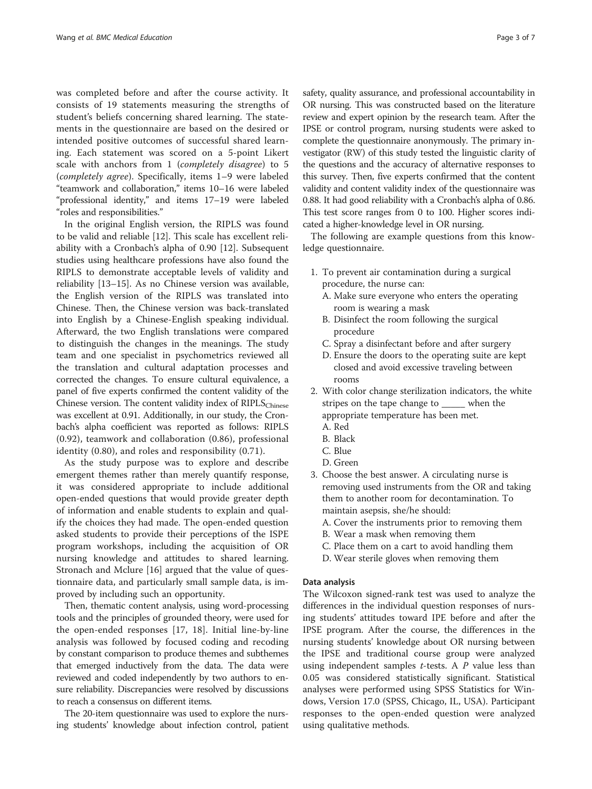was completed before and after the course activity. It consists of 19 statements measuring the strengths of student's beliefs concerning shared learning. The statements in the questionnaire are based on the desired or intended positive outcomes of successful shared learning. Each statement was scored on a 5-point Likert scale with anchors from 1 (completely disagree) to 5 (completely agree). Specifically, items 1–9 were labeled "teamwork and collaboration," items 10–16 were labeled "professional identity," and items 17–19 were labeled "roles and responsibilities."

In the original English version, the RIPLS was found to be valid and reliable [[12](#page-5-0)]. This scale has excellent reliability with a Cronbach's alpha of 0.90 [[12](#page-5-0)]. Subsequent studies using healthcare professions have also found the RIPLS to demonstrate acceptable levels of validity and reliability [[13](#page-5-0)–[15](#page-5-0)]. As no Chinese version was available, the English version of the RIPLS was translated into Chinese. Then, the Chinese version was back-translated into English by a Chinese-English speaking individual. Afterward, the two English translations were compared to distinguish the changes in the meanings. The study team and one specialist in psychometrics reviewed all the translation and cultural adaptation processes and corrected the changes. To ensure cultural equivalence, a panel of five experts confirmed the content validity of the Chinese version. The content validity index of  $RIPLS<sub>Chinese</sub>$ was excellent at 0.91. Additionally, in our study, the Cronbach's alpha coefficient was reported as follows: RIPLS (0.92), teamwork and collaboration (0.86), professional identity (0.80), and roles and responsibility (0.71).

As the study purpose was to explore and describe emergent themes rather than merely quantify response, it was considered appropriate to include additional open-ended questions that would provide greater depth of information and enable students to explain and qualify the choices they had made. The open-ended question asked students to provide their perceptions of the ISPE program workshops, including the acquisition of OR nursing knowledge and attitudes to shared learning. Stronach and Mclure [\[16](#page-5-0)] argued that the value of questionnaire data, and particularly small sample data, is improved by including such an opportunity.

Then, thematic content analysis, using word-processing tools and the principles of grounded theory, were used for the open-ended responses [[17, 18\]](#page-5-0). Initial line-by-line analysis was followed by focused coding and recoding by constant comparison to produce themes and subthemes that emerged inductively from the data. The data were reviewed and coded independently by two authors to ensure reliability. Discrepancies were resolved by discussions to reach a consensus on different items.

The 20-item questionnaire was used to explore the nursing students' knowledge about infection control, patient

safety, quality assurance, and professional accountability in OR nursing. This was constructed based on the literature review and expert opinion by the research team. After the IPSE or control program, nursing students were asked to complete the questionnaire anonymously. The primary investigator (RW) of this study tested the linguistic clarity of the questions and the accuracy of alternative responses to this survey. Then, five experts confirmed that the content validity and content validity index of the questionnaire was 0.88. It had good reliability with a Cronbach's alpha of 0.86. This test score ranges from 0 to 100. Higher scores indicated a higher-knowledge level in OR nursing.

The following are example questions from this knowledge questionnaire.

- 1. To prevent air contamination during a surgical procedure, the nurse can:
	- A. Make sure everyone who enters the operating room is wearing a mask
	- B. Disinfect the room following the surgical procedure
	- C. Spray a disinfectant before and after surgery
	- D. Ensure the doors to the operating suite are kept closed and avoid excessive traveling between rooms
- 2. With color change sterilization indicators, the white stripes on the tape change to \_\_\_\_\_ when the appropriate temperature has been met.
	- A. Red
	- B. Black
	- C. Blue
	- D. Green
- 3. Choose the best answer. A circulating nurse is removing used instruments from the OR and taking them to another room for decontamination. To maintain asepsis, she/he should:
	- A. Cover the instruments prior to removing them
	- B. Wear a mask when removing them
	- C. Place them on a cart to avoid handling them
	- D. Wear sterile gloves when removing them

#### Data analysis

The Wilcoxon signed-rank test was used to analyze the differences in the individual question responses of nursing students' attitudes toward IPE before and after the IPSE program. After the course, the differences in the nursing students' knowledge about OR nursing between the IPSE and traditional course group were analyzed using independent samples  $t$ -tests. A  $P$  value less than 0.05 was considered statistically significant. Statistical analyses were performed using SPSS Statistics for Windows, Version 17.0 (SPSS, Chicago, IL, USA). Participant responses to the open-ended question were analyzed using qualitative methods.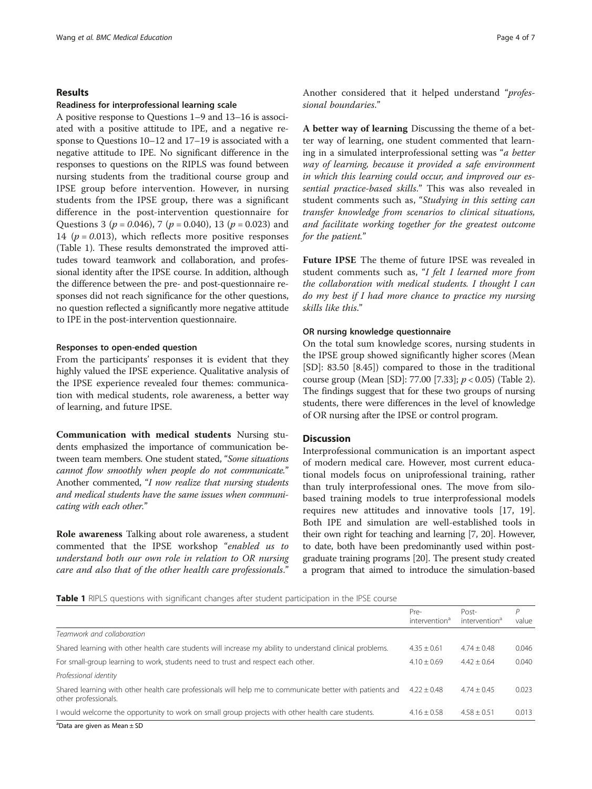#### Results

#### Readiness for interprofessional learning scale

A positive response to Questions 1–9 and 13–16 is associated with a positive attitude to IPE, and a negative response to Questions 10–12 and 17–19 is associated with a negative attitude to IPE. No significant difference in the responses to questions on the RIPLS was found between nursing students from the traditional course group and IPSE group before intervention. However, in nursing students from the IPSE group, there was a significant difference in the post-intervention questionnaire for Questions 3 ( $p = 0.046$ ), 7 ( $p = 0.040$ ), 13 ( $p = 0.023$ ) and 14 ( $p = 0.013$ ), which reflects more positive responses (Table 1). These results demonstrated the improved attitudes toward teamwork and collaboration, and professional identity after the IPSE course. In addition, although the difference between the pre- and post-questionnaire responses did not reach significance for the other questions, no question reflected a significantly more negative attitude to IPE in the post-intervention questionnaire.

#### Responses to open-ended question

From the participants' responses it is evident that they highly valued the IPSE experience. Qualitative analysis of the IPSE experience revealed four themes: communication with medical students, role awareness, a better way of learning, and future IPSE.

Communication with medical students Nursing students emphasized the importance of communication between team members. One student stated, "Some situations cannot flow smoothly when people do not communicate." Another commented, "I now realize that nursing students and medical students have the same issues when communicating with each other."

Role awareness Talking about role awareness, a student commented that the IPSE workshop "enabled us to understand both our own role in relation to OR nursing care and also that of the other health care professionals."

Another considered that it helped understand "professional boundaries."

A better way of learning Discussing the theme of a better way of learning, one student commented that learning in a simulated interprofessional setting was "a better way of learning, because it provided a safe environment in which this learning could occur, and improved our essential practice-based skills." This was also revealed in student comments such as, "Studying in this setting can transfer knowledge from scenarios to clinical situations, and facilitate working together for the greatest outcome for the patient."

Future IPSE The theme of future IPSE was revealed in student comments such as, "I felt I learned more from the collaboration with medical students. I thought I can do my best if I had more chance to practice my nursing skills like this."

#### OR nursing knowledge questionnaire

On the total sum knowledge scores, nursing students in the IPSE group showed significantly higher scores (Mean [SD]: 83.50 [8.45]) compared to those in the traditional course group (Mean [SD]: 77.00 [7.33]; p < 0.05) (Table [2](#page-4-0)). The findings suggest that for these two groups of nursing students, there were differences in the level of knowledge of OR nursing after the IPSE or control program.

#### **Discussion**

Interprofessional communication is an important aspect of modern medical care. However, most current educational models focus on uniprofessional training, rather than truly interprofessional ones. The move from silobased training models to true interprofessional models requires new attitudes and innovative tools [\[17](#page-5-0), [19](#page-5-0)]. Both IPE and simulation are well-established tools in their own right for teaching and learning [\[7, 20\]](#page-5-0). However, to date, both have been predominantly used within postgraduate training programs [\[20\]](#page-5-0). The present study created a program that aimed to introduce the simulation-based

Table 1 RIPLS questions with significant changes after student participation in the IPSE course

|                                                                                                                                   | Pre-<br>intervention <sup>d</sup> | Post-<br>intervention <sup>d</sup> | Р<br>value |
|-----------------------------------------------------------------------------------------------------------------------------------|-----------------------------------|------------------------------------|------------|
| Teamwork and collaboration                                                                                                        |                                   |                                    |            |
| Shared learning with other health care students will increase my ability to understand clinical problems.                         | $4.35 + 0.61$                     | $4.74 \pm 0.48$                    | 0.046      |
| For small-group learning to work, students need to trust and respect each other.                                                  | $4.10 + 0.69$                     | $4.42 + 0.64$                      | 0.040      |
| Professional identity                                                                                                             |                                   |                                    |            |
| Shared learning with other health care professionals will help me to communicate better with patients and<br>other professionals. | $4.22 \pm 0.48$                   | $4.74 + 0.45$                      | 0.023      |
| I would welcome the opportunity to work on small group projects with other health care students.                                  | $4.16 + 0.58$                     | $4.58 + 0.51$                      | 0.013      |

a Data are given as Mean ± SD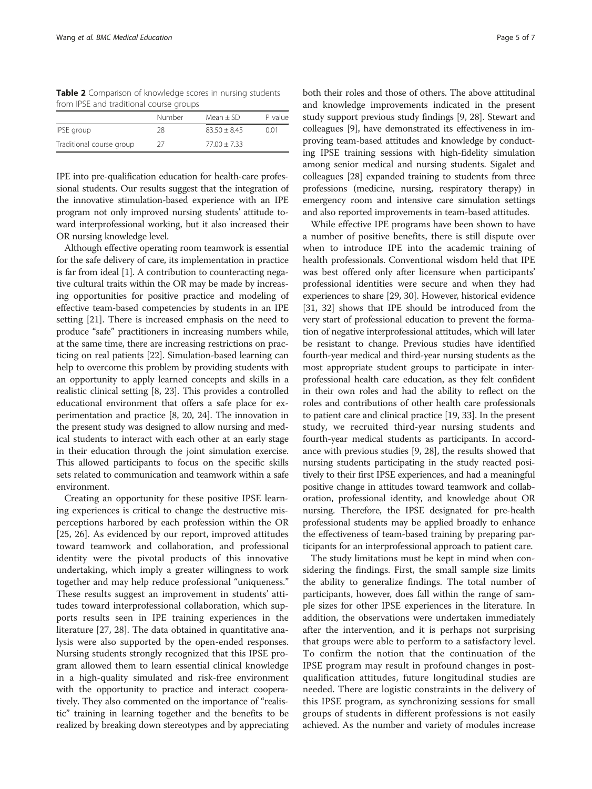<span id="page-4-0"></span>Table 2 Comparison of knowledge scores in nursing students from IPSE and traditional course groups

| Number | Mean $\pm$ SD  | P value |
|--------|----------------|---------|
| 28     | $83.50 + 8.45$ | 0.01    |
| 27     | $77.00 + 7.33$ |         |
|        |                |         |

IPE into pre-qualification education for health-care professional students. Our results suggest that the integration of the innovative stimulation-based experience with an IPE program not only improved nursing students' attitude toward interprofessional working, but it also increased their OR nursing knowledge level.

Although effective operating room teamwork is essential for the safe delivery of care, its implementation in practice is far from ideal [\[1](#page-5-0)]. A contribution to counteracting negative cultural traits within the OR may be made by increasing opportunities for positive practice and modeling of effective team-based competencies by students in an IPE setting [\[21\]](#page-5-0). There is increased emphasis on the need to produce "safe" practitioners in increasing numbers while, at the same time, there are increasing restrictions on practicing on real patients [[22](#page-5-0)]. Simulation-based learning can help to overcome this problem by providing students with an opportunity to apply learned concepts and skills in a realistic clinical setting [\[8](#page-5-0), [23](#page-5-0)]. This provides a controlled educational environment that offers a safe place for experimentation and practice [\[8, 20](#page-5-0), [24](#page-5-0)]. The innovation in the present study was designed to allow nursing and medical students to interact with each other at an early stage in their education through the joint simulation exercise. This allowed participants to focus on the specific skills sets related to communication and teamwork within a safe environment.

Creating an opportunity for these positive IPSE learning experiences is critical to change the destructive misperceptions harbored by each profession within the OR [[25, 26](#page-5-0)]. As evidenced by our report, improved attitudes toward teamwork and collaboration, and professional identity were the pivotal products of this innovative undertaking, which imply a greater willingness to work together and may help reduce professional "uniqueness." These results suggest an improvement in students' attitudes toward interprofessional collaboration, which supports results seen in IPE training experiences in the literature [\[27, 28\]](#page-5-0). The data obtained in quantitative analysis were also supported by the open-ended responses. Nursing students strongly recognized that this IPSE program allowed them to learn essential clinical knowledge in a high-quality simulated and risk-free environment with the opportunity to practice and interact cooperatively. They also commented on the importance of "realistic" training in learning together and the benefits to be realized by breaking down stereotypes and by appreciating

both their roles and those of others. The above attitudinal and knowledge improvements indicated in the present study support previous study findings [[9, 28](#page-5-0)]. Stewart and colleagues [\[9](#page-5-0)], have demonstrated its effectiveness in improving team-based attitudes and knowledge by conducting IPSE training sessions with high-fidelity simulation among senior medical and nursing students. Sigalet and colleagues [\[28\]](#page-5-0) expanded training to students from three professions (medicine, nursing, respiratory therapy) in emergency room and intensive care simulation settings and also reported improvements in team-based attitudes.

While effective IPE programs have been shown to have a number of positive benefits, there is still dispute over when to introduce IPE into the academic training of health professionals. Conventional wisdom held that IPE was best offered only after licensure when participants' professional identities were secure and when they had experiences to share [\[29,](#page-5-0) [30](#page-6-0)]. However, historical evidence [[31](#page-6-0), [32\]](#page-6-0) shows that IPE should be introduced from the very start of professional education to prevent the formation of negative interprofessional attitudes, which will later be resistant to change. Previous studies have identified fourth-year medical and third-year nursing students as the most appropriate student groups to participate in interprofessional health care education, as they felt confident in their own roles and had the ability to reflect on the roles and contributions of other health care professionals to patient care and clinical practice [[19](#page-5-0), [33\]](#page-6-0). In the present study, we recruited third-year nursing students and fourth-year medical students as participants. In accordance with previous studies [\[9](#page-5-0), [28\]](#page-5-0), the results showed that nursing students participating in the study reacted positively to their first IPSE experiences, and had a meaningful positive change in attitudes toward teamwork and collaboration, professional identity, and knowledge about OR nursing. Therefore, the IPSE designated for pre-health professional students may be applied broadly to enhance the effectiveness of team-based training by preparing participants for an interprofessional approach to patient care.

The study limitations must be kept in mind when considering the findings. First, the small sample size limits the ability to generalize findings. The total number of participants, however, does fall within the range of sample sizes for other IPSE experiences in the literature. In addition, the observations were undertaken immediately after the intervention, and it is perhaps not surprising that groups were able to perform to a satisfactory level. To confirm the notion that the continuation of the IPSE program may result in profound changes in postqualification attitudes, future longitudinal studies are needed. There are logistic constraints in the delivery of this IPSE program, as synchronizing sessions for small groups of students in different professions is not easily achieved. As the number and variety of modules increase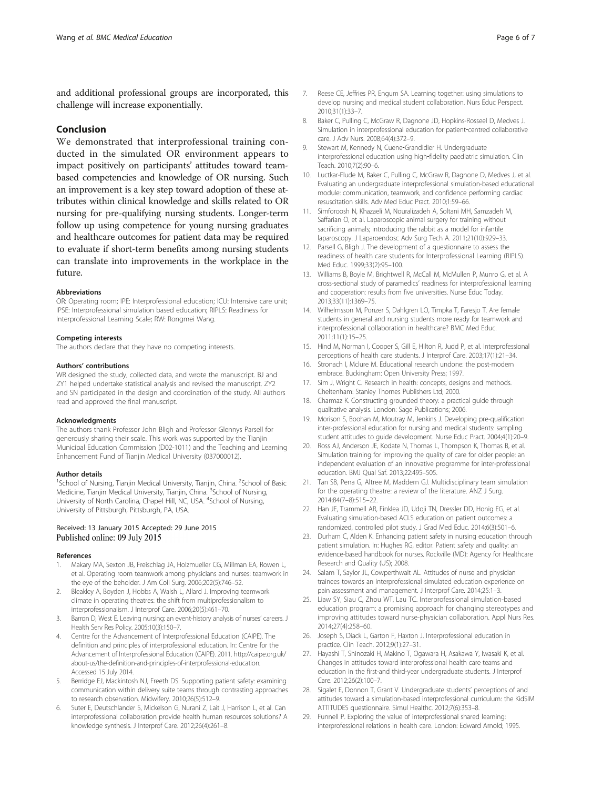<span id="page-5-0"></span>and additional professional groups are incorporated, this challenge will increase exponentially.

#### Conclusion

We demonstrated that interprofessional training conducted in the simulated OR environment appears to impact positively on participants' attitudes toward teambased competencies and knowledge of OR nursing. Such an improvement is a key step toward adoption of these attributes within clinical knowledge and skills related to OR nursing for pre-qualifying nursing students. Longer-term follow up using competence for young nursing graduates and healthcare outcomes for patient data may be required to evaluate if short-term benefits among nursing students can translate into improvements in the workplace in the future.

#### Abbreviations

OR: Operating room; IPE: Interprofessional education; ICU: Intensive care unit; IPSE: Interprofessional simulation based education; RIPLS: Readiness for Interprofessional Learning Scale; RW: Rongmei Wang.

#### Competing interests

The authors declare that they have no competing interests.

#### Authors' contributions

WR designed the study, collected data, and wrote the manuscript. BJ and ZY1 helped undertake statistical analysis and revised the manuscript. ZY2 and SN participated in the design and coordination of the study. All authors read and approved the final manuscript.

#### Acknowledgments

The authors thank Professor John Bligh and Professor Glennys Parsell for generously sharing their scale. This work was supported by the Tianjin Municipal Education Commission (D02-1011) and the Teaching and Learning Enhancement Fund of Tianjin Medical University (037000012).

#### Author details

<sup>1</sup>School of Nursing, Tianjin Medical University, Tianjin, China. <sup>2</sup>School of Basic Medicine, Tianjin Medical University, Tianjin, China. <sup>3</sup>School of Nursing, University of North Carolina, Chapel Hill, NC, USA. <sup>4</sup>School of Nursing, University of Pittsburgh, Pittsburgh, PA, USA.

# Received: 13 January 2015 Accepted: 29 June 2015

#### References

- 1. Makary MA, Sexton JB, Freischlag JA, Holzmueller CG, Millman EA, Rowen L, et al. Operating room teamwork among physicians and nurses: teamwork in the eye of the beholder. J Am Coll Surg. 2006;202(5):746–52.
- 2. Bleakley A, Boyden J, Hobbs A, Walsh L, Allard J. Improving teamwork climate in operating theatres: the shift from multiprofessionalism to interprofessionalism. J Interprof Care. 2006;20(5):461–70.
- 3. Barron D, West E. Leaving nursing: an event-history analysis of nurses' careers. J Health Serv Res Policy. 2005;10(3):150–7.
- 4. Centre for the Advancement of Interprofessional Education (CAIPE). The definition and principles of interprofessional education. In: Centre for the Advancement of Interprofessional Education (CAIPE). 2011. [http://caipe.org.uk/](http://caipe.org.uk/about-us/the-definition-and-principles-of-interprofessional-education) [about-us/the-definition-and-principles-of-interprofessional-education.](http://caipe.org.uk/about-us/the-definition-and-principles-of-interprofessional-education) Accessed 15 July 2014.
- 5. Berridge EJ, Mackintosh NJ, Freeth DS. Supporting patient safety: examining communication within delivery suite teams through contrasting approaches to research observation. Midwifery. 2010;26(5):512–9.
- 6. Suter E, Deutschlander S, Mickelson G, Nurani Z, Lait J, Harrison L, et al. Can interprofessional collaboration provide health human resources solutions? A knowledge synthesis. J Interprof Care. 2012;26(4):261–8.
- 7. Reese CE, Jeffries PR, Engum SA. Learning together: using simulations to develop nursing and medical student collaboration. Nurs Educ Perspect. 2010;31(1):33–7.
- 8. Baker C, Pulling C, McGraw R, Dagnone JD, Hopkins-Rosseel D, Medves J. Simulation in interprofessional education for patient‐centred collaborative care. J Adv Nurs. 2008;64(4):372–9.
- 9. Stewart M, Kennedy N, Cuene‐Grandidier H. Undergraduate interprofessional education using high‐fidelity paediatric simulation. Clin Teach. 2010;7(2):90–6.
- 10. Luctkar-Flude M, Baker C, Pulling C, McGraw R, Dagnone D, Medves J, et al. Evaluating an undergraduate interprofessional simulation-based educational module: communication, teamwork, and confidence performing cardiac resuscitation skills. Adv Med Educ Pract. 2010;1:59–66.
- 11. Simforoosh N, Khazaeli M, Nouralizadeh A, Soltani MH, Samzadeh M, Saffarian O, et al. Laparoscopic animal surgery for training without sacrificing animals; introducing the rabbit as a model for infantile laparoscopy. J Laparoendosc Adv Surg Tech A. 2011;21(10):929–33.
- 12. Parsell G, Bligh J. The development of a questionnaire to assess the readiness of health care students for Interprofessional Learning (RIPLS). Med Educ. 1999;33(2):95–100.
- 13. Williams B, Boyle M, Brightwell R, McCall M, McMullen P, Munro G, et al. A cross-sectional study of paramedics' readiness for interprofessional learning and cooperation: results from five universities. Nurse Educ Today. 2013;33(11):1369–75.
- 14. Wilhelmsson M, Ponzer S, Dahlgren LO, Timpka T, Faresjo T. Are female students in general and nursing students more ready for teamwork and interprofessional collaboration in healthcare? BMC Med Educ. 2011;11(1):15–25.
- 15. Hind M, Norman I, Cooper S, Gill E, Hilton R, Judd P, et al. Interprofessional perceptions of health care students. J Interprof Care. 2003;17(1):21–34.
- 16. Stronach I, Mclure M. Educational research undone: the post-modern embrace. Buckingham: Open University Press; 1997.
- 17. Sim J, Wright C. Research in health: concepts, designs and methods. Cheltenham: Stanley Thornes Publishers Ltd; 2000.
- 18. Charmaz K. Constructing grounded theory: a practical guide through qualitative analysis. London: Sage Publications; 2006.
- 19. Morison S, Boohan M, Moutray M, Jenkins J. Developing pre-qualification inter-professional education for nursing and medical students: sampling student attitudes to guide development. Nurse Educ Pract. 2004;4(1):20–9.
- 20. Ross AJ, Anderson JE, Kodate N, Thomas L, Thompson K, Thomas B, et al. Simulation training for improving the quality of care for older people: an independent evaluation of an innovative programme for inter-professional education. BMJ Qual Saf. 2013;22:495–505.
- 21. Tan SB, Pena G, Altree M, Maddern GJ. Multidisciplinary team simulation for the operating theatre: a review of the literature. ANZ J Surg. 2014;84(7–8):515–22.
- 22. Han JE, Trammell AR, Finklea JD, Udoji TN, Dressler DD, Honig EG, et al. Evaluating simulation-based ACLS education on patient outcomes: a randomized, controlled pilot study. J Grad Med Educ. 2014;6(3):501–6.
- 23. Durham C, Alden K. Enhancing patient safety in nursing education through patient simulation. In: Hughes RG, editor. Patient safety and quality: an evidence-based handbook for nurses. Rockville (MD): Agency for Healthcare Research and Quality (US); 2008.
- 24. Salam T, Saylor JL, Cowperthwait AL. Attitudes of nurse and physician trainees towards an interprofessional simulated education experience on pain assessment and management. J Interprof Care. 2014;25:1–3.
- 25. Liaw SY, Siau C, Zhou WT, Lau TC. Interprofessional simulation-based education program: a promising approach for changing stereotypes and improving attitudes toward nurse-physician collaboration. Appl Nurs Res. 2014;27(4):258–60.
- 26. Joseph S, Diack L, Garton F, Haxton J. Interprofessional education in practice. Clin Teach. 2012;9(1):27–31.
- 27. Hayashi T, Shinozaki H, Makino T, Ogawara H, Asakawa Y, Iwasaki K, et al. Changes in attitudes toward interprofessional health care teams and education in the first-and third-year undergraduate students. J Interprof Care. 2012;26(2):100–7.
- 28. Sigalet E, Donnon T, Grant V. Undergraduate students' perceptions of and attitudes toward a simulation-based interprofessional curriculum: the KidSIM ATTITUDES questionnaire. Simul Healthc. 2012;7(6):353–8.
- 29. Funnell P. Exploring the value of interprofessional shared learning: interprofessional relations in health care. London: Edward Arnold; 1995.